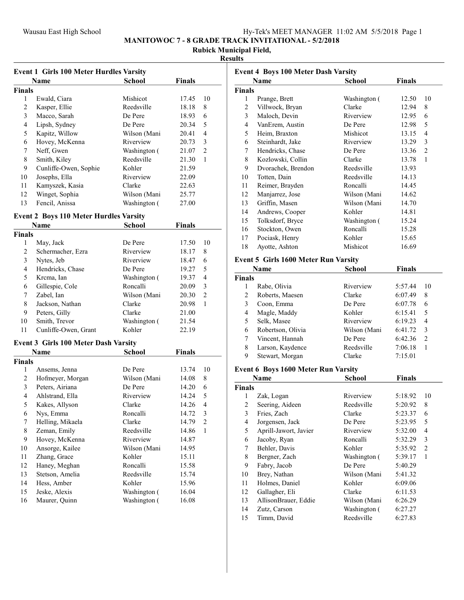### Wausau East High School **Hy-Tek's MEET MANAGER** 11:02 AM 5/5/2018 Page 1

MANITOWOC 7 - 8 GRADE TRACK INVITATIONAL - 5/2/2018

# Rubick Municipal Field,

### Results

|                | <b>Event 1 Girls 100 Meter Hurdles Varsity</b> |              |               |    |  |
|----------------|------------------------------------------------|--------------|---------------|----|--|
|                | <b>Name</b>                                    | School       | <b>Finals</b> |    |  |
| Finals         |                                                |              |               |    |  |
| 1              | Ewald, Ciara                                   | Mishicot     | 17.45         | 10 |  |
| 2              | Kasper, Ellie                                  | Reedsville   | 18.18         | 8  |  |
| 3              | Macco, Sarah                                   | De Pere      | 18.93         | 6  |  |
| $\overline{4}$ | Lipsh, Sydney                                  | De Pere      | 20.34         | 5  |  |
| 5              | Kapitz, Willow                                 | Wilson (Mani | 20.41         | 4  |  |
| 6              | Hovey, McKenna                                 | Riverview    | 20.73         | 3  |  |
| 7              | Neff, Gwen                                     | Washington ( | 21.07         | 2  |  |
| 8              | Smith, Kiley                                   | Reedsville   | 21.30         | 1  |  |
| 9              | Cunliffe-Owen, Sophie                          | Kohler       | 21.59         |    |  |
| 10             | Josephs, Ella                                  | Riverview    | 22.09         |    |  |
| 11             | Kamyszek, Kasia                                | Clarke       | 22.63         |    |  |
| 12             | Winget, Sophia                                 | Wilson (Mani | 25.77         |    |  |
| 13             | Fencil, Anissa                                 | Washington ( | 27.00         |    |  |
|                |                                                |              |               |    |  |

### Event 2 Boys 110 Meter Hurdles Varsity

|               | Name                 | School       | Finals |                |
|---------------|----------------------|--------------|--------|----------------|
| <b>Finals</b> |                      |              |        |                |
| 1             | May, Jack            | De Pere      | 17.50  | 10             |
| 2             | Schermacher, Ezra    | Riverview    | 18.17  | 8              |
| 3             | Nytes, Jeb           | Riverview    | 18.47  | 6              |
| 4             | Hendricks, Chase     | De Pere      | 19.27  | 5              |
| 5             | Krcma, Ian           | Washington ( | 19.37  | 4              |
| 6             | Gillespie, Cole      | Roncalli     | 20.09  | 3              |
| 7             | Zabel, Ian           | Wilson (Mani | 20.30  | $\overline{2}$ |
| 8             | Jackson, Nathan      | Clarke       | 20.98  | 1              |
| 9             | Peters, Gilly        | Clarke       | 21.00  |                |
| 10            | Smith, Trevor        | Washington ( | 21.54  |                |
| 11            | Cunliffe-Owen, Grant | Kohler       | 22.19  |                |

## Event 3 Girls 100 Meter Dash Varsity

| Name          |                  | School       | Finals |    |
|---------------|------------------|--------------|--------|----|
| <b>Finals</b> |                  |              |        |    |
| 1             | Ansems, Jenna    | De Pere      | 13.74  | 10 |
| 2             | Hofmeyer, Morgan | Wilson (Mani | 14.08  | 8  |
| 3             | Peters, Airiana  | De Pere      | 14.20  | 6  |
| 4             | Ahlstrand, Ella  | Riverview    | 14.24  | 5  |
| 5             | Kakes, Allyson   | Clarke       | 14.26  | 4  |
| 6             | Nys, Emma        | Roncalli     | 14.72  | 3  |
| 7             | Helling, Mikaela | Clarke       | 14.79  | 2  |
| 8             | Zeman, Emily     | Reedsville   | 14.86  | 1  |
| 9             | Hovey, McKenna   | Riverview    | 14.87  |    |
| 10            | Ansorge, Kailee  | Wilson (Mani | 14.95  |    |
| 11            | Zhang, Grace     | Kohler       | 15.11  |    |
| 12            | Haney, Meghan    | Roncalli     | 15.58  |    |
| 13            | Stetson, Amelia  | Reedsville   | 15.74  |    |
| 14            | Hess, Amber      | Kohler       | 15.96  |    |
| 15            | Jeske, Alexis    | Washington ( | 16.04  |    |
| 16            | Maurer, Quinn    | Washington ( | 16.08  |    |

| <b>Event 4 Boys 100 Meter Dash Varsity</b> |                                             |               |               |                |
|--------------------------------------------|---------------------------------------------|---------------|---------------|----------------|
|                                            | <b>Name</b>                                 | <b>School</b> | <b>Finals</b> |                |
| <b>Finals</b>                              |                                             |               |               |                |
| 1                                          | Prange, Brett                               | Washington (  | 12.50         | 10             |
| 2                                          | Villwock, Bryan                             | Clarke        | 12.94         | 8              |
| 3                                          | Maloch, Devin                               | Riverview     | 12.95         | 6              |
| $\overline{4}$                             | VanErem, Austin                             | De Pere       | 12.98         | 5              |
| 5                                          | Heim, Braxton                               | Mishicot      | 13.15         | $\overline{4}$ |
| 6                                          | Steinhardt, Jake                            | Riverview     | 13.29         | 3              |
| 7                                          | Hendricks, Chase                            | De Pere       | 13.36         | $\overline{2}$ |
| 8                                          | Kozlowski, Collin                           | Clarke        | 13.78         | $\mathbf{1}$   |
| 9                                          | Dvorachek, Brendon                          | Reedsville    | 13.93         |                |
| 10                                         | Totten, Dain                                | Reedsville    | 14.13         |                |
| 11                                         | Reimer, Brayden                             | Roncalli      | 14.45         |                |
| 12                                         | Manjarrez, Jose                             | Wilson (Mani  | 14.62         |                |
| 13                                         | Griffin, Masen                              | Wilson (Mani  | 14.70         |                |
| 14                                         | Andrews, Cooper                             | Kohler        | 14.81         |                |
| 15                                         | Tolksdorf, Bryce                            | Washington (  | 15.24         |                |
| 16                                         | Stockton, Owen                              | Roncalli      | 15.28         |                |
| 17                                         | Pociask, Henry                              | Kohler        | 15.65         |                |
| 18                                         | Ayotte, Ashton                              | Mishicot      | 16.69         |                |
|                                            | <b>Event 5 Girls 1600 Meter Run Varsity</b> |               |               |                |
|                                            | Name                                        | School        | <b>Finals</b> |                |
| <b>Finals</b>                              |                                             |               |               |                |
| 1                                          | Rabe, Olivia                                | Riverview     | 5:57.44       | 10             |
| 2                                          | Roberts, Maesen                             | Clarke        | 6:07.49       | 8              |
| 3                                          | Coon, Emma                                  | De Pere       | 6:07.78       | 6              |
| $\overline{4}$                             | Magle, Maddy                                | Kohler        | 6:15.41       | 5              |

|    | Magle, Maddy      | Kohler       | $0:12.41$ 2 |               |  |
|----|-------------------|--------------|-------------|---------------|--|
| 5. | Selk, Masee       | Riverview    | 6:19.23     | - 4           |  |
| 6  | Robertson, Olivia | Wilson (Mani | 6:41.72     | $\mathcal{R}$ |  |
|    | Vincent, Hannah   | De Pere      | 6:42.36     |               |  |
| 8  | Larson, Kaydence  | Reedsville   | 7:06.18     |               |  |
| 9  | Stewart, Morgan   | Clarke       | 7:15.01     |               |  |

### Event 6 Boys 1600 Meter Run Varsity

| Name          |                       | School       | <b>Finals</b> |                |
|---------------|-----------------------|--------------|---------------|----------------|
| <b>Finals</b> |                       |              |               |                |
| 1             | Zak, Logan            | Riverview    | 5:18.92       | 10             |
| 2             | Seering, Aideen       | Reedsville   | 5:20.92       | 8              |
| 3             | Fries, Zach           | Clarke       | 5:23.37       | 6              |
| 4             | Jorgensen, Jack       | De Pere      | 5:23.95       | 5              |
| 5             | Aprill-Jawort, Javier | Riverview    | 5:32.00       | 4              |
| 6             | Jacoby, Ryan          | Roncalli     | 5:32.29       | 3              |
| 7             | Behler, Davis         | Kohler       | 5:35.92       | $\overline{2}$ |
| 8             | Bergner, Zach         | Washington ( | 5:39.17       | 1              |
| 9             | Fabry, Jacob          | De Pere      | 5:40.29       |                |
| 10            | Brey, Nathan          | Wilson (Mani | 5:41.32       |                |
| 11            | Holmes, Daniel        | Kohler       | 6:09.06       |                |
| 12            | Gallagher, Eli        | Clarke       | 6:11.53       |                |
| 13            | AllisonBrauer, Eddie  | Wilson (Mani | 6:26.29       |                |
| 14            | Zutz, Carson          | Washington ( | 6:27.27       |                |
| 15            | Timm, David           | Reedsville   | 6:27.83       |                |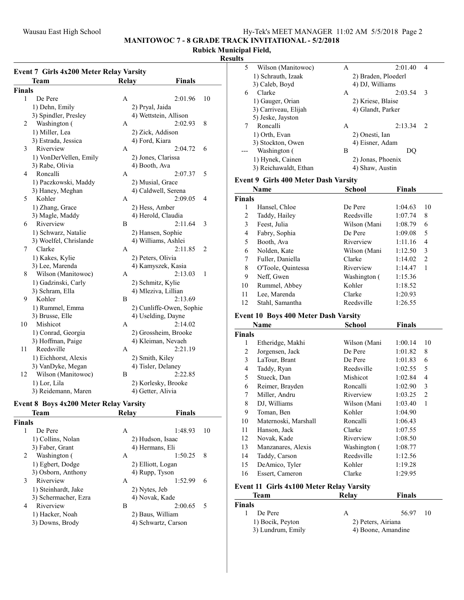MANITOWOC 7 - 8 GRADE TRACK INVITATIONAL - 5/2/2018

# Rubick Municipal Field,

## Results

| <b>Relay</b><br><b>Finals</b><br>Team<br><b>Finals</b><br>1<br>De Pere<br>2:01.96<br>10<br>А<br>1) Dehn, Emily<br>2) Pryal, Jaida<br>3) Spindler, Presley<br>4) Wettstein, Allison<br>$\overline{c}$<br>Washington (<br>2:02.93<br>8<br>A<br>1) Miller, Lea<br>2) Zick, Addison<br>3) Estrada, Jessica<br>4) Ford, Kiara<br>Riverview<br>3<br>2:04.72<br>A<br>6<br>1) VonDerVellen, Emily<br>2) Jones, Clarissa<br>3) Rabe, Olivia<br>4) Booth, Ava<br>4<br>Roncalli<br>2:07.37<br>5<br>А<br>1) Paczkowski, Maddy<br>2) Musial, Grace<br>4) Caldwell, Serena<br>3) Haney, Meghan<br>5<br>Kohler<br>2:09.05<br>4<br>A<br>1) Zhang, Grace<br>2) Hess, Amber<br>3) Magle, Maddy<br>4) Herold, Claudia<br>Riverview<br>2:11.64<br>6<br>B<br>3<br>1) Schwarz, Natalie<br>2) Hansen, Sophie<br>3) Woelfel, Chrislande<br>4) Williams, Ashlei<br>Clarke<br>7<br>2:11.85<br>2<br>А<br>1) Kakes, Kylie<br>2) Peters, Olivia<br>4) Kamyszek, Kasia<br>3) Lee, Marenda<br>Wilson (Manitowoc)<br>8<br>2:13.03<br>A<br>1<br>1) Gadzinski, Carly<br>2) Schmitz, Kylie<br>4) Mleziva, Lillian<br>3) Schram, Ella<br>9<br>Kohler<br>2:13.69<br>B<br>1) Rummel, Emma<br>2) Cunliffe-Owen, Sophie<br>3) Brusse, Elle<br>4) Uselding, Dayne<br>10<br>Mishicot<br>2:14.02<br>A<br>1) Conrad, Georgia<br>2) Grossheim, Brooke<br>3) Hoffman, Paige<br>4) Kleiman, Nevaeh<br>11<br>Reedsville<br>2:21.19<br>A<br>1) Eichhorst, Alexis<br>2) Smith, Kiley<br>4) Tisler, Delaney<br>3) VanDyke, Megan<br>12<br>Wilson (Manitowoc)<br>2:22.85<br>В<br>1) Lor, Lila<br>2) Korlesky, Brooke | <b>Event 7 Girls 4x200 Meter Relay Varsity</b> |  |
|------------------------------------------------------------------------------------------------------------------------------------------------------------------------------------------------------------------------------------------------------------------------------------------------------------------------------------------------------------------------------------------------------------------------------------------------------------------------------------------------------------------------------------------------------------------------------------------------------------------------------------------------------------------------------------------------------------------------------------------------------------------------------------------------------------------------------------------------------------------------------------------------------------------------------------------------------------------------------------------------------------------------------------------------------------------------------------------------------------------------------------------------------------------------------------------------------------------------------------------------------------------------------------------------------------------------------------------------------------------------------------------------------------------------------------------------------------------------------------------------------------------------------------------------------------------|------------------------------------------------|--|
|                                                                                                                                                                                                                                                                                                                                                                                                                                                                                                                                                                                                                                                                                                                                                                                                                                                                                                                                                                                                                                                                                                                                                                                                                                                                                                                                                                                                                                                                                                                                                                  |                                                |  |
|                                                                                                                                                                                                                                                                                                                                                                                                                                                                                                                                                                                                                                                                                                                                                                                                                                                                                                                                                                                                                                                                                                                                                                                                                                                                                                                                                                                                                                                                                                                                                                  |                                                |  |
|                                                                                                                                                                                                                                                                                                                                                                                                                                                                                                                                                                                                                                                                                                                                                                                                                                                                                                                                                                                                                                                                                                                                                                                                                                                                                                                                                                                                                                                                                                                                                                  |                                                |  |
|                                                                                                                                                                                                                                                                                                                                                                                                                                                                                                                                                                                                                                                                                                                                                                                                                                                                                                                                                                                                                                                                                                                                                                                                                                                                                                                                                                                                                                                                                                                                                                  |                                                |  |
|                                                                                                                                                                                                                                                                                                                                                                                                                                                                                                                                                                                                                                                                                                                                                                                                                                                                                                                                                                                                                                                                                                                                                                                                                                                                                                                                                                                                                                                                                                                                                                  |                                                |  |
|                                                                                                                                                                                                                                                                                                                                                                                                                                                                                                                                                                                                                                                                                                                                                                                                                                                                                                                                                                                                                                                                                                                                                                                                                                                                                                                                                                                                                                                                                                                                                                  |                                                |  |
|                                                                                                                                                                                                                                                                                                                                                                                                                                                                                                                                                                                                                                                                                                                                                                                                                                                                                                                                                                                                                                                                                                                                                                                                                                                                                                                                                                                                                                                                                                                                                                  |                                                |  |
|                                                                                                                                                                                                                                                                                                                                                                                                                                                                                                                                                                                                                                                                                                                                                                                                                                                                                                                                                                                                                                                                                                                                                                                                                                                                                                                                                                                                                                                                                                                                                                  |                                                |  |
|                                                                                                                                                                                                                                                                                                                                                                                                                                                                                                                                                                                                                                                                                                                                                                                                                                                                                                                                                                                                                                                                                                                                                                                                                                                                                                                                                                                                                                                                                                                                                                  |                                                |  |
|                                                                                                                                                                                                                                                                                                                                                                                                                                                                                                                                                                                                                                                                                                                                                                                                                                                                                                                                                                                                                                                                                                                                                                                                                                                                                                                                                                                                                                                                                                                                                                  |                                                |  |
|                                                                                                                                                                                                                                                                                                                                                                                                                                                                                                                                                                                                                                                                                                                                                                                                                                                                                                                                                                                                                                                                                                                                                                                                                                                                                                                                                                                                                                                                                                                                                                  |                                                |  |
|                                                                                                                                                                                                                                                                                                                                                                                                                                                                                                                                                                                                                                                                                                                                                                                                                                                                                                                                                                                                                                                                                                                                                                                                                                                                                                                                                                                                                                                                                                                                                                  |                                                |  |
|                                                                                                                                                                                                                                                                                                                                                                                                                                                                                                                                                                                                                                                                                                                                                                                                                                                                                                                                                                                                                                                                                                                                                                                                                                                                                                                                                                                                                                                                                                                                                                  |                                                |  |
|                                                                                                                                                                                                                                                                                                                                                                                                                                                                                                                                                                                                                                                                                                                                                                                                                                                                                                                                                                                                                                                                                                                                                                                                                                                                                                                                                                                                                                                                                                                                                                  |                                                |  |
|                                                                                                                                                                                                                                                                                                                                                                                                                                                                                                                                                                                                                                                                                                                                                                                                                                                                                                                                                                                                                                                                                                                                                                                                                                                                                                                                                                                                                                                                                                                                                                  |                                                |  |
|                                                                                                                                                                                                                                                                                                                                                                                                                                                                                                                                                                                                                                                                                                                                                                                                                                                                                                                                                                                                                                                                                                                                                                                                                                                                                                                                                                                                                                                                                                                                                                  |                                                |  |
|                                                                                                                                                                                                                                                                                                                                                                                                                                                                                                                                                                                                                                                                                                                                                                                                                                                                                                                                                                                                                                                                                                                                                                                                                                                                                                                                                                                                                                                                                                                                                                  |                                                |  |
|                                                                                                                                                                                                                                                                                                                                                                                                                                                                                                                                                                                                                                                                                                                                                                                                                                                                                                                                                                                                                                                                                                                                                                                                                                                                                                                                                                                                                                                                                                                                                                  |                                                |  |
|                                                                                                                                                                                                                                                                                                                                                                                                                                                                                                                                                                                                                                                                                                                                                                                                                                                                                                                                                                                                                                                                                                                                                                                                                                                                                                                                                                                                                                                                                                                                                                  |                                                |  |
|                                                                                                                                                                                                                                                                                                                                                                                                                                                                                                                                                                                                                                                                                                                                                                                                                                                                                                                                                                                                                                                                                                                                                                                                                                                                                                                                                                                                                                                                                                                                                                  |                                                |  |
|                                                                                                                                                                                                                                                                                                                                                                                                                                                                                                                                                                                                                                                                                                                                                                                                                                                                                                                                                                                                                                                                                                                                                                                                                                                                                                                                                                                                                                                                                                                                                                  |                                                |  |
|                                                                                                                                                                                                                                                                                                                                                                                                                                                                                                                                                                                                                                                                                                                                                                                                                                                                                                                                                                                                                                                                                                                                                                                                                                                                                                                                                                                                                                                                                                                                                                  |                                                |  |
|                                                                                                                                                                                                                                                                                                                                                                                                                                                                                                                                                                                                                                                                                                                                                                                                                                                                                                                                                                                                                                                                                                                                                                                                                                                                                                                                                                                                                                                                                                                                                                  |                                                |  |
|                                                                                                                                                                                                                                                                                                                                                                                                                                                                                                                                                                                                                                                                                                                                                                                                                                                                                                                                                                                                                                                                                                                                                                                                                                                                                                                                                                                                                                                                                                                                                                  |                                                |  |
|                                                                                                                                                                                                                                                                                                                                                                                                                                                                                                                                                                                                                                                                                                                                                                                                                                                                                                                                                                                                                                                                                                                                                                                                                                                                                                                                                                                                                                                                                                                                                                  |                                                |  |
|                                                                                                                                                                                                                                                                                                                                                                                                                                                                                                                                                                                                                                                                                                                                                                                                                                                                                                                                                                                                                                                                                                                                                                                                                                                                                                                                                                                                                                                                                                                                                                  |                                                |  |
|                                                                                                                                                                                                                                                                                                                                                                                                                                                                                                                                                                                                                                                                                                                                                                                                                                                                                                                                                                                                                                                                                                                                                                                                                                                                                                                                                                                                                                                                                                                                                                  |                                                |  |
|                                                                                                                                                                                                                                                                                                                                                                                                                                                                                                                                                                                                                                                                                                                                                                                                                                                                                                                                                                                                                                                                                                                                                                                                                                                                                                                                                                                                                                                                                                                                                                  |                                                |  |
|                                                                                                                                                                                                                                                                                                                                                                                                                                                                                                                                                                                                                                                                                                                                                                                                                                                                                                                                                                                                                                                                                                                                                                                                                                                                                                                                                                                                                                                                                                                                                                  |                                                |  |
|                                                                                                                                                                                                                                                                                                                                                                                                                                                                                                                                                                                                                                                                                                                                                                                                                                                                                                                                                                                                                                                                                                                                                                                                                                                                                                                                                                                                                                                                                                                                                                  |                                                |  |
|                                                                                                                                                                                                                                                                                                                                                                                                                                                                                                                                                                                                                                                                                                                                                                                                                                                                                                                                                                                                                                                                                                                                                                                                                                                                                                                                                                                                                                                                                                                                                                  |                                                |  |
|                                                                                                                                                                                                                                                                                                                                                                                                                                                                                                                                                                                                                                                                                                                                                                                                                                                                                                                                                                                                                                                                                                                                                                                                                                                                                                                                                                                                                                                                                                                                                                  |                                                |  |
|                                                                                                                                                                                                                                                                                                                                                                                                                                                                                                                                                                                                                                                                                                                                                                                                                                                                                                                                                                                                                                                                                                                                                                                                                                                                                                                                                                                                                                                                                                                                                                  |                                                |  |
|                                                                                                                                                                                                                                                                                                                                                                                                                                                                                                                                                                                                                                                                                                                                                                                                                                                                                                                                                                                                                                                                                                                                                                                                                                                                                                                                                                                                                                                                                                                                                                  |                                                |  |
|                                                                                                                                                                                                                                                                                                                                                                                                                                                                                                                                                                                                                                                                                                                                                                                                                                                                                                                                                                                                                                                                                                                                                                                                                                                                                                                                                                                                                                                                                                                                                                  |                                                |  |
|                                                                                                                                                                                                                                                                                                                                                                                                                                                                                                                                                                                                                                                                                                                                                                                                                                                                                                                                                                                                                                                                                                                                                                                                                                                                                                                                                                                                                                                                                                                                                                  |                                                |  |
|                                                                                                                                                                                                                                                                                                                                                                                                                                                                                                                                                                                                                                                                                                                                                                                                                                                                                                                                                                                                                                                                                                                                                                                                                                                                                                                                                                                                                                                                                                                                                                  |                                                |  |
| 3) Reidemann, Maren<br>4) Getter, Alivia                                                                                                                                                                                                                                                                                                                                                                                                                                                                                                                                                                                                                                                                                                                                                                                                                                                                                                                                                                                                                                                                                                                                                                                                                                                                                                                                                                                                                                                                                                                         |                                                |  |

# Event 8 Boys 4x200 Meter Relay Varsity

| <b>Relay</b><br>Team                   | <b>Finals</b> |
|----------------------------------------|---------------|
|                                        |               |
| De Pere<br>А                           | 1:48.93<br>10 |
| 1) Collins, Nolan<br>2) Hudson, Isaac  |               |
| 3) Faber, Grant<br>4) Hermans, Eli     |               |
| Washington (<br>А                      | 1:50.25<br>8  |
| 1) Egbert, Dodge<br>2) Elliott, Logan  |               |
| 3) Osborn, Anthony<br>4) Rupp, Tyson   |               |
| Riverview<br>A                         | 1:52.99<br>6  |
| 1) Steinhardt, Jake<br>2) Nytes, Jeb   |               |
| 4) Novak, Kade<br>3) Schermacher, Ezra |               |
| Riverview<br>В                         | 2:00.65<br>5  |
| 1) Hacker, Noah<br>2) Baus, William    |               |
| 3) Downs, Brody<br>4) Schwartz, Carson |               |
|                                        |               |

| 5. | Wilson (Manitowoc)    | 2:01.40<br>A        | 4              |
|----|-----------------------|---------------------|----------------|
|    | 1) Schrauth, Izaak    | 2) Braden, Ploederl |                |
|    | 3) Caleb, Boyd        | 4) DJ, Williams     |                |
| 6  | Clarke                | 2:03.54<br>A        | 3              |
|    | 1) Gauger, Orian      | 2) Kriese, Blaise   |                |
|    | 3) Carriveau, Elijah  | 4) Glandt, Parker   |                |
|    | 5) Jeske, Jayston     |                     |                |
|    | Roncalli              | 2:13.34<br>A        | $\overline{2}$ |
|    | 1) Orth, Evan         | 2) Onesti, Ian      |                |
|    | 3) Stockton, Owen     | 4) Eisner, Adam     |                |
|    | Washington (          | B                   |                |
|    | 1) Hynek, Cainen      | 2) Jonas, Phoenix   |                |
|    | 3) Reichawaldt, Ethan | 4) Shaw, Austin     |                |
|    |                       |                     |                |

### Event 9 Girls 400 Meter Dash Varsity

|               | Name               | School       | <b>Finals</b> |                |
|---------------|--------------------|--------------|---------------|----------------|
| <b>Finals</b> |                    |              |               |                |
| 1             | Hansel, Chloe      | De Pere      | 1:04.63       | 10             |
| 2             | Taddy, Hailey      | Reedsville   | 1:07.74       | 8              |
| 3             | Feest, Julia       | Wilson (Mani | 1:08.79       | 6              |
| 4             | Fabry, Sophia      | De Pere      | 1:09.08       | 5              |
| 5             | Booth, Ava         | Riverview    | 1:11.16       | 4              |
| 6             | Nolden, Kate       | Wilson (Mani | 1:12.50       | 3              |
| 7             | Fuller, Daniella   | Clarke       | 1:14.02       | $\overline{2}$ |
| 8             | O'Toole, Quintessa | Riverview    | 1:14.47       | 1              |
| 9             | Neff, Gwen         | Washington ( | 1:15.36       |                |
| 10            | Rummel, Abbey      | Kohler       | 1:18.52       |                |
| 11            | Lee, Marenda       | Clarke       | 1:20.93       |                |
| 12            | Stahl, Samantha    | Reedsville   | 1:26.55       |                |

### Event 10 Boys 400 Meter Dash Varsity

|               | Name                 | <b>School</b> | <b>Finals</b> |    |
|---------------|----------------------|---------------|---------------|----|
| <b>Finals</b> |                      |               |               |    |
| 1             | Etheridge, Makhi     | Wilson (Mani  | 1:00.14       | 10 |
| 2             | Jorgensen, Jack      | De Pere       | 1:01.82       | 8  |
| 3             | LaTour, Brant        | De Pere       | 1:01.83       | 6  |
| 4             | Taddy, Ryan          | Reedsville    | 1:02.55       | 5  |
| 5             | Stueck, Dan          | Mishicot      | 1:02.84       | 4  |
| 6             | Reimer, Brayden      | Roncalli      | 1:02.90       | 3  |
| 7             | Miller, Andru        | Riverview     | 1:03.25       | 2  |
| 8             | DJ, Williams         | Wilson (Mani  | 1:03.40       | 1  |
| 9             | Toman, Ben           | Kohler        | 1:04.90       |    |
| 10            | Maternoski, Marshall | Roncalli      | 1:06.43       |    |
| 11            | Hanson, Jack         | Clarke        | 1:07.55       |    |
| 12            | Novak, Kade          | Riverview     | 1:08.50       |    |
| 13            | Manzanares, Alexis   | Washington (  | 1:08.77       |    |
| 14            | Taddy, Carson        | Reedsville    | 1:12.56       |    |
| 15            | DeAmico, Tyler       | Kohler        | 1:19.28       |    |
| 16            | Essert, Cameron      | Clarke        | 1:29.95       |    |

### Event 11 Girls 4x100 Meter Relay Varsity

|        | Team              | Relay              | <b>Finals</b>      |     |
|--------|-------------------|--------------------|--------------------|-----|
| Finals |                   |                    |                    |     |
|        | De Pere           | А                  | 56.97              | -10 |
|        | 1) Bocik, Peyton  | 2) Peters, Airiana |                    |     |
|        | 3) Lundrum, Emily |                    | 4) Boone, Amandine |     |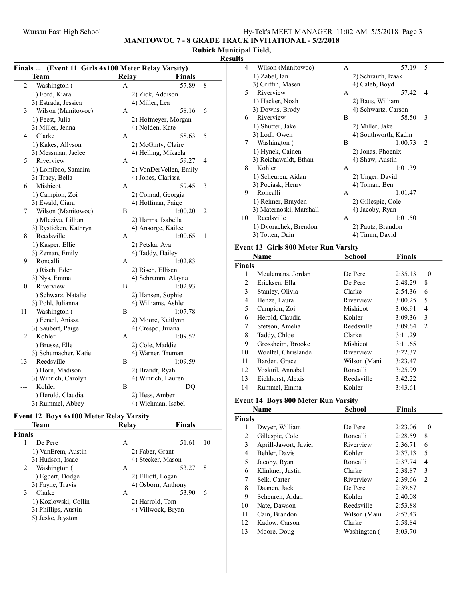MANITOWOC 7 - 8 GRADE TRACK INVITATIONAL - 5/2/2018

### Rubick Municipal Field, Results

|     | (Event 11 Girls 4x100 Meter Relay Varsity)<br><b>Finals</b> |              |                        |   |  |
|-----|-------------------------------------------------------------|--------------|------------------------|---|--|
|     | Team                                                        | <b>Relay</b> | <b>Finals</b>          |   |  |
| 2   | Washington (                                                | A            | 57.89                  | 8 |  |
|     | 1) Ford, Kiara                                              |              | 2) Zick, Addison       |   |  |
|     | 3) Estrada, Jessica                                         |              | 4) Miller, Lea         |   |  |
| 3   | Wilson (Manitowoc)                                          | A            | 58.16                  | 6 |  |
|     | 1) Feest, Julia                                             |              | 2) Hofmeyer, Morgan    |   |  |
|     | 3) Miller, Jenna                                            |              | 4) Nolden, Kate        |   |  |
| 4   | Clarke                                                      | A            | 58.63                  | 5 |  |
|     | 1) Kakes, Allyson                                           |              | 2) McGinty, Claire     |   |  |
|     | 3) Messman, Jaelee                                          |              | 4) Helling, Mikaela    |   |  |
| 5   | Riverview                                                   | А            | 59.27                  | 4 |  |
|     | 1) Lomibao, Samaira                                         |              | 2) VonDerVellen, Emily |   |  |
|     | 3) Tracy, Bella                                             |              | 4) Jones, Clarissa     |   |  |
| 6   | Mishicot                                                    | А            | 59.45                  | 3 |  |
|     | 1) Campion, Zoi                                             |              | 2) Conrad, Georgia     |   |  |
|     | 3) Ewald, Ciara                                             |              | 4) Hoffman, Paige      |   |  |
| 7   | Wilson (Manitowoc)                                          | В            | 1:00.20                | 2 |  |
|     | 1) Mleziva, Lillian                                         |              | 2) Harms, Isabella     |   |  |
|     | 3) Rysticken, Kathryn                                       |              | 4) Ansorge, Kailee     |   |  |
| 8   | Reedsville                                                  | A            | 1:00.65                | 1 |  |
|     | 1) Kasper, Ellie                                            |              | 2) Petska, Ava         |   |  |
|     | 3) Zeman, Emily                                             |              | 4) Taddy, Hailey       |   |  |
| 9   | Roncalli                                                    | А            | 1:02.83                |   |  |
|     | 1) Risch, Eden                                              |              | 2) Risch, Ellisen      |   |  |
|     | 3) Nys, Emma                                                |              | 4) Schramm, Alayna     |   |  |
| 10  | Riverview                                                   | В            | 1:02.93                |   |  |
|     | 1) Schwarz, Natalie                                         |              | 2) Hansen, Sophie      |   |  |
|     | 3) Pohl, Julianna                                           |              | 4) Williams, Ashlei    |   |  |
| 11  | Washington (                                                | В            | 1:07.78                |   |  |
|     | 1) Fencil, Anissa                                           |              | 2) Moore, Kaitlynn     |   |  |
|     | 3) Saubert, Paige                                           |              | 4) Crespo, Juiana      |   |  |
| 12  | Kohler                                                      | А            | 1:09.52                |   |  |
|     | 1) Brusse, Elle                                             |              | 2) Cole, Maddie        |   |  |
|     | 3) Schumacher, Katie                                        |              | 4) Warner, Truman      |   |  |
| 13  | Reedsville                                                  | B            | 1:09.59                |   |  |
|     | 1) Horn, Madison                                            |              | 2) Brandt, Ryah        |   |  |
|     | 3) Winrich, Carolyn                                         |              | 4) Winrich, Lauren     |   |  |
| --- | Kohler                                                      | В            | DQ                     |   |  |
|     | 1) Herold, Claudia                                          |              | 2) Hess, Amber         |   |  |
|     | 3) Rummel, Abbey                                            |              | 4) Wichman, Isabel     |   |  |

# Event 12 Boys 4x100 Meter Relay Varsity

|               | Team                 | Relay             | <b>Finals</b>      |    |
|---------------|----------------------|-------------------|--------------------|----|
| <b>Finals</b> |                      |                   |                    |    |
|               | De Pere              | А                 | 51.61              | 10 |
|               | 1) VanErem, Austin   | 2) Faber, Grant   |                    |    |
|               | 3) Hudson, Isaac     |                   | 4) Stecker, Mason  |    |
| 2             | Washington (         | А                 | 53.27              | 8  |
|               | 1) Egbert, Dodge     | 2) Elliott, Logan |                    |    |
|               | 3) Fayne, Travis     |                   | 4) Osborn, Anthony |    |
| 3             | Clarke               | А                 | 53.90              | 6  |
|               | 1) Kozlowski, Collin | 2) Harrold, Tom   |                    |    |
|               | 3) Phillips, Austin  |                   | 4) Villwock, Bryan |    |
|               | 5) Jeske, Jayston    |                   |                    |    |

| 4  | Wilson (Manitowoc)      | A | 57.19                | $\overline{\phantom{0}}$ |
|----|-------------------------|---|----------------------|--------------------------|
|    | 1) Zabel, Ian           |   | 2) Schrauth, Izaak   |                          |
|    | 3) Griffin, Masen       |   | 4) Caleb, Boyd       |                          |
| 5  | Riverview               | A | 57.42                | 4                        |
|    | 1) Hacker, Noah         |   | 2) Baus, William     |                          |
|    | 3) Downs, Brody         |   | 4) Schwartz, Carson  |                          |
| 6  | Riverview               | B | 58.50                | 3                        |
|    | 1) Shutter, Jake        |   | 2) Miller, Jake      |                          |
|    | 3) Lodl, Owen           |   | 4) Southworth, Kadin |                          |
| 7  | Washington (            | B | 1:00.73              | $\mathcal{L}$            |
|    | 1) Hynek, Cainen        |   | 2) Jonas, Phoenix    |                          |
|    | 3) Reichawaldt, Ethan   |   | 4) Shaw, Austin      |                          |
| 8  | Kohler                  | A | 1:01.39              | 1                        |
|    | 1) Scheuren, Aidan      |   | 2) Unger, David      |                          |
|    | 3) Pociask, Henry       |   | 4) Toman, Ben        |                          |
| 9  | Roncalli                | A | 1:01.47              |                          |
|    | 1) Reimer, Brayden      |   | 2) Gillespie, Cole   |                          |
|    | 3) Maternoski, Marshall |   | 4) Jacoby, Ryan      |                          |
| 10 | Reedsville              | A | 1:01.50              |                          |
|    | 1) Dvorachek, Brendon   |   | 2) Pautz, Brandon    |                          |
|    | 3) Totten, Dain         |   | 4) Timm, David       |                          |
|    |                         |   |                      |                          |

### Event 13 Girls 800 Meter Run Varsity

| Name          |                     | <b>School</b> | <b>Finals</b> |    |
|---------------|---------------------|---------------|---------------|----|
| <b>Finals</b> |                     |               |               |    |
| 1             | Meulemans, Jordan   | De Pere       | 2:35.13       | 10 |
| 2             | Ericksen, Ella      | De Pere       | 2:48.29       | 8  |
| 3             | Stanley, Olivia     | Clarke        | 2:54.36       | 6  |
| 4             | Henze, Laura        | Riverview     | 3:00.25       | 5  |
| 5             | Campion, Zoi        | Mishicot      | 3:06.91       | 4  |
| 6             | Herold, Claudia     | Kohler        | 3:09.36       | 3  |
| 7             | Stetson, Amelia     | Reedsville    | 3:09.64       | 2  |
| 8             | Taddy, Chloe        | Clarke        | 3:11.29       | 1  |
| 9             | Grossheim, Brooke   | Mishicot      | 3:11.65       |    |
| 10            | Woelfel, Chrislande | Riverview     | 3:22.37       |    |
| 11            | Barden, Grace       | Wilson (Mani  | 3:23.47       |    |
| 12            | Voskuil, Annabel    | Roncalli      | 3:25.99       |    |
| 13            | Eichhorst, Alexis   | Reedsville    | 3:42.22       |    |
| 14            | Rummel, Emma        | Kohler        | 3:43.61       |    |

### Event 14 Boys 800 Meter Run Varsity

| Name          |                       | <b>School</b> | <b>Finals</b> |    |
|---------------|-----------------------|---------------|---------------|----|
| <b>Finals</b> |                       |               |               |    |
| 1             | Dwyer, William        | De Pere       | 2:23.06       | 10 |
| 2             | Gillespie, Cole       | Roncalli      | 2:28.59       | 8  |
| 3             | Aprill-Jawort, Javier | Riverview     | 2:36.71       | 6  |
| 4             | Behler, Davis         | Kohler        | 2:37.13       | 5  |
| 5             | Jacoby, Ryan          | Roncalli      | 2:37.74       | 4  |
| 6             | Klinkner, Justin      | Clarke        | 2:38.87       | 3  |
| 7             | Selk, Carter          | Riverview     | 2:39.66       | 2  |
| 8             | Daanen, Jack          | De Pere       | 2:39.67       | 1  |
| 9             | Scheuren, Aidan       | Kohler        | 2:40.08       |    |
| 10            | Nate, Dawson          | Reedsville    | 2:53.88       |    |
| 11            | Cain, Brandon         | Wilson (Mani  | 2:57.43       |    |
| 12            | Kadow, Carson         | Clarke        | 2:58.84       |    |
| 13            | Moore, Doug           | Washington (  | 3:03.70       |    |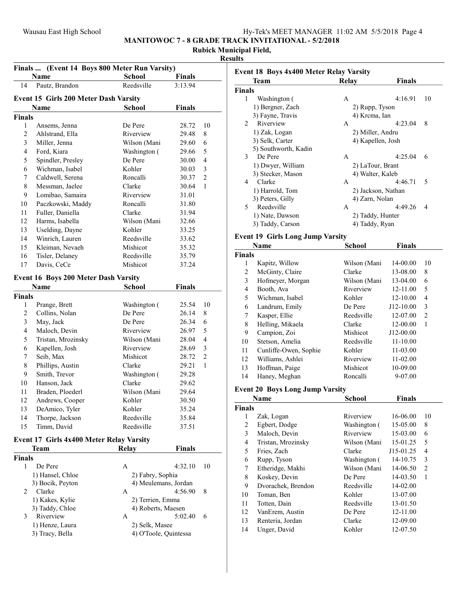MANITOWOC 7 - 8 GRADE TRACK INVITATIONAL - 5/2/2018

# Rubick Municipal Field,

### Results

| Finals  (Event 14 Boys 800 Meter Run Varsity) |                                             |                      |               |                |
|-----------------------------------------------|---------------------------------------------|----------------------|---------------|----------------|
|                                               | Name                                        | School<br>Reedsville | <b>Finals</b> |                |
| 14                                            | Pautz, Brandon                              |                      | 3:13.94       |                |
|                                               | Event 15 Girls 200 Meter Dash Varsity       |                      |               |                |
|                                               | Name                                        | <b>School</b>        | Finals        |                |
| <b>Finals</b>                                 |                                             |                      |               |                |
| 1                                             | Ansems, Jenna                               | De Pere              | 28.72         | 10             |
| 2                                             | Ahlstrand, Ella                             | Riverview            | 29.48         | 8              |
| 3                                             | Miller, Jenna                               | Wilson (Mani         | 29.60         | 6              |
| $\overline{4}$                                | Ford, Kiara                                 | Washington (         | 29.66         | 5              |
| 5                                             | Spindler, Presley                           | De Pere              | 30.00         | $\overline{4}$ |
| 6                                             | Wichman, Isabel                             | Kohler               | 30.03         | 3              |
| 7                                             | Caldwell, Serena                            | Roncalli             | 30.37         | $\overline{2}$ |
| 8                                             | Messman, Jaelee                             | Clarke               | 30.64         | 1              |
| 9                                             | Lomibao, Samaira                            | Riverview            | 31.01         |                |
| 10                                            | Paczkowski, Maddy                           | Roncalli             | 31.80         |                |
| 11                                            | Fuller, Daniella                            | Clarke               | 31.94         |                |
| 12                                            | Harms, Isabella                             | Wilson (Mani         | 32.66         |                |
| 13                                            | Uselding, Dayne                             | Kohler               | 33.25         |                |
| 14                                            | Winrich, Lauren                             | Reedsville           | 33.62         |                |
| 15                                            | Kleiman, Nevaeh                             | Mishicot             | 35.32         |                |
| 16                                            | Tisler, Delaney                             | Reedsville           | 35.79         |                |
| 17                                            | Davis, CeCe                                 | Mishicot             | 37.24         |                |
|                                               |                                             |                      |               |                |
|                                               | <b>Event 16 Boys 200 Meter Dash Varsity</b> |                      |               |                |
|                                               | Name                                        | <b>School</b>        | <b>Finals</b> |                |
| <b>Finals</b>                                 |                                             |                      |               |                |
| 1                                             | Prange, Brett                               | Washington (         | 25.54         | 10             |
| 2                                             | Collins, Nolan                              | De Pere              | 26.14         | 8              |
| 3                                             | May, Jack                                   | De Pere              | 26.34         | 6              |
| $\overline{4}$                                | Maloch, Devin                               | Riverview            | 26.97         | 5              |
| 5                                             | Tristan, Mrozinsky                          | Wilson (Mani         | 28.04         | 4              |
| 6                                             | Kapellen, Josh                              | Riverview            | 28.69         | 3              |
| 7                                             | Seib, Max                                   | Mishicot             | 28.72         | $\mathfrak{2}$ |
| 8                                             | Phillips, Austin                            | Clarke               | 29.21         | 1              |
| 9                                             | Smith, Trevor                               | Washington (         | 29.28         |                |
| 10                                            | Hanson, Jack                                | Clarke               | 29.62         |                |
| 11                                            | Braden, Ploederl                            | Wilson (Mani         | 29.64         |                |
| 12                                            | Andrews, Cooper                             | Kohler               | 30.50         |                |
| 13                                            | DeAmico, Tyler                              | Kohler               | 35.24         |                |
| 14                                            | Thorpe, Jackson                             | Reedsville           | 35.84         |                |
| 15                                            | Timm, David                                 | Reedsville           | 37.51         |                |
|                                               | Event 17 Girls 4x400 Meter Relay Varsity    |                      |               |                |
|                                               | Team                                        | <b>Relay</b>         | Finals        |                |
| <b>Finals</b>                                 |                                             |                      |               |                |
| 1                                             | De Pere                                     | A                    | 4:32.10       | 10             |
|                                               | 1) Hansel, Chloe                            | 2) Fabry, Sophia     |               |                |
|                                               | 3) Bocik, Peyton                            | 4) Meulemans, Jordan |               |                |
| 2                                             | Clarke                                      | А                    | 4:56.90       | 8              |
|                                               | 1) Kakes, Kylie                             | 2) Terrien, Emma     |               |                |
|                                               | 3) Taddy, Chloe                             | 4) Roberts, Maesen   |               |                |
| 3                                             | Riverview                                   | А                    | 5:02.40       | 6              |
|                                               | 1) Henze, Laura                             | 2) Selk, Masee       |               |                |
|                                               |                                             |                      |               |                |

|                         | Event 18 Boys 4x400 Meter Relay Varsity<br>Team | <b>Relay</b>           | <b>Finals</b> |                |
|-------------------------|-------------------------------------------------|------------------------|---------------|----------------|
| <b>Finals</b>           |                                                 |                        |               |                |
| 1                       | Washington (                                    | A                      | 4:16.91       | 10             |
|                         | 1) Bergner, Zach                                | 2) Rupp, Tyson         |               |                |
|                         | 3) Fayne, Travis                                | 4) Krcma, Ian          |               |                |
| 2                       | Riverview                                       | A                      | 4:23.04       | 8              |
|                         | 1) Zak, Logan                                   | 2) Miller, Andru       |               |                |
|                         | 3) Selk, Carter                                 | 4) Kapellen, Josh      |               |                |
|                         | 5) Southworth, Kadin                            |                        |               |                |
| 3                       | De Pere                                         | A                      | 4:25.04       | 6              |
|                         | 1) Dwyer, William                               | 2) LaTour, Brant       |               |                |
|                         | 3) Stecker, Mason                               | 4) Walter, Kaleb       |               |                |
| 4                       | Clarke                                          | A                      | 4:46.71       | 5              |
|                         | 1) Harrold, Tom                                 | 2) Jackson, Nathan     |               |                |
|                         | 3) Peters, Gilly                                | 4) Zarn, Nolan         |               |                |
| 5                       | Reedsville                                      | A                      | 4:49.26       | 4              |
|                         | 1) Nate, Dawson                                 | 2) Taddy, Hunter       |               |                |
|                         | 3) Taddy, Carson                                | 4) Taddy, Ryan         |               |                |
|                         | <b>Event 19 Girls Long Jump Varsity</b>         |                        |               |                |
|                         | Name                                            | <b>School</b>          | <b>Finals</b> |                |
| <b>Finals</b>           |                                                 |                        |               |                |
| 1                       | Kapitz, Willow                                  | Wilson (Mani           | 14-00.00      | 10             |
| 2                       | McGinty, Claire                                 | Clarke                 | 13-08.00      | 8              |
| 3                       | Hofmeyer, Morgan                                | Wilson (Mani           | 13-04.00      | 6              |
| 4                       | Booth, Ava                                      | Riverview              | 12-11.00      | 5              |
| 5                       | Wichman, Isabel                                 | Kohler                 | 12-10.00      | 4              |
| 6                       | Landrum, Emily                                  | De Pere                | J12-10.00     | 3              |
| 7                       | Kasper, Ellie                                   | Reedsville             | 12-07.00      | $\overline{2}$ |
| 8                       | Helling, Mikaela                                | Clarke                 | 12-00.00      | 1              |
| 9                       | Campion, Zoi                                    | Mishicot               | J12-00.00     |                |
| 10                      | Stetson, Amelia                                 | Reedsville             | 11-10.00      |                |
| 11                      | Cunliffe-Owen, Sophie                           | Kohler                 | 11-03.00      |                |
| 12                      | Williams, Ashlei                                | Riverview              | $11 - 02.00$  |                |
| 13                      | Hoffman, Paige                                  | Mishicot               | 10-09.00      |                |
| 14                      | Haney, Meghan                                   | Roncalli               | 9-07.00       |                |
|                         |                                                 |                        |               |                |
|                         | <b>Event 20 Boys Long Jump Varsity</b>          |                        |               |                |
|                         | <b>Name</b>                                     | <b>School</b>          | <b>Finals</b> |                |
| <b>Finals</b><br>1      | Zak, Logan                                      | Riverview              | 16-06.00      | 10             |
| $\overline{c}$          | Egbert, Dodge                                   | Washington (           | 15-05.00      | 8              |
| 3                       | Maloch, Devin                                   | Riverview              | 15-03.00      | 6              |
| $\overline{\mathbf{4}}$ |                                                 |                        | 15-01.25      | 5              |
| 5                       | Tristan, Mrozinsky                              | Wilson (Mani           |               | $\overline{4}$ |
| 6                       | Fries, Zach                                     | Clarke<br>Washington ( | J15-01.25     | 3              |
|                         | Rupp, Tyson                                     |                        | 14-10.75      |                |
| 7                       | Etheridge, Makhi                                | Wilson (Mani           | 14-06.50      | $\mathbf{2}$   |
| 8                       | Koskey, Devin                                   | De Pere                | 14-03.50      | 1              |
| 9                       | Dvorachek, Brendon                              | Reedsville             | 14-02.00      |                |
| 10                      | Toman, Ben                                      | Kohler                 | 13-07.00      |                |
| 11                      | Totten, Dain                                    | Reedsville             | 13-01.50      |                |
|                         | VanErem, Austin                                 | De Pere                | 12-11.00      |                |
| 12                      |                                                 |                        | 12-09.00      |                |
| 13<br>14                | Renteria, Jordan<br>Unger, David                | Clarke<br>Kohler       | 12-07.50      |                |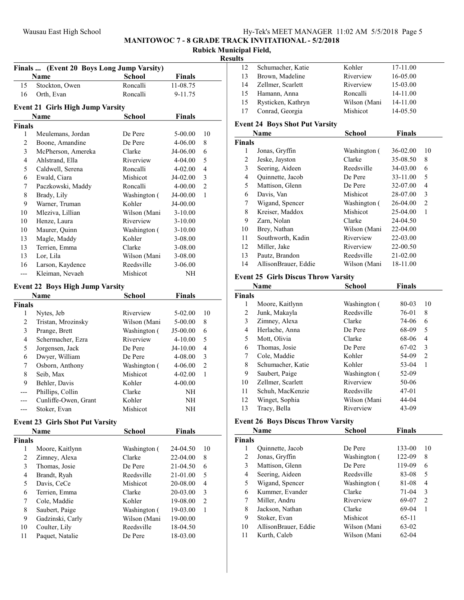# Wausau East High School Hy-Tek's MEET MANAGER 11:02 AM 5/5/2018 Page 5

MANITOWOC 7 - 8 GRADE TRACK INVITATIONAL - 5/2/2018

# Rubick Municipal Field,

| ۰.<br>- |  |
|---------|--|
|         |  |

|                                 | Finals  (Event 20 Boys Long Jump Varsity)      |               |               |                          |
|---------------------------------|------------------------------------------------|---------------|---------------|--------------------------|
|                                 | <b>Name</b>                                    | <b>School</b> | <b>Finals</b> |                          |
| 15                              | Stockton, Owen                                 | Roncalli      | 11-08.75      |                          |
| 16                              | Orth, Evan                                     | Roncalli      | 9-11.75       |                          |
|                                 |                                                |               |               |                          |
|                                 | <b>Event 21 Girls High Jump Varsity</b>        |               | <b>Finals</b> |                          |
|                                 | Name                                           | <b>School</b> |               |                          |
| <b>Finals</b><br>1              | Meulemans, Jordan                              | De Pere       | 5-00.00       | 10                       |
| $\overline{2}$                  | Boone, Amandine                                | De Pere       | 4-06.00       | 8                        |
| 3                               | McPherson, Amereka                             | Clarke        | J4-06.00      | 6                        |
| $\overline{4}$                  | Ahlstrand, Ella                                | Riverview     | 4-04.00       | 5                        |
| 5                               | Caldwell, Serena                               | Roncalli      | 4-02.00       | $\overline{4}$           |
| 6                               | Ewald, Ciara                                   | Mishicot      | J4-02.00      | 3                        |
| 7                               | Paczkowski, Maddy                              | Roncalli      | 4-00.00       | $\overline{c}$           |
| 8                               | Brady, Lily                                    | Washington (  | J4-00.00      | 1                        |
| 9                               | Warner, Truman                                 | Kohler        | J4-00.00      |                          |
| 10                              | Mleziva, Lillian                               | Wilson (Mani  | $3-10.00$     |                          |
| 10                              | Henze, Laura                                   | Riverview     | $3-10.00$     |                          |
| 10                              | Maurer, Quinn                                  | Washington (  | $3-10.00$     |                          |
| 13                              | Magle, Maddy                                   | Kohler        | 3-08.00       |                          |
| 13                              | Terrien, Emma                                  | Clarke        | 3-08.00       |                          |
| 13                              | Lor, Lila                                      | Wilson (Mani  | 3-08.00       |                          |
| 16                              | Larson, Kaydence                               | Reedsville    | 3-06.00       |                          |
| ---                             | Kleiman, Nevaeh                                | Mishicot      | NH            |                          |
|                                 |                                                |               |               |                          |
| Event 22 Boys High Jump Varsity |                                                |               |               |                          |
| <b>Finals</b>                   | <b>Name</b>                                    | <b>School</b> | <b>Finals</b> |                          |
| 1                               | Nytes, Jeb                                     | Riverview     | 5-02.00       | 10                       |
| 2                               | Tristan, Mrozinsky                             | Wilson (Mani  | 5-00.00       | 8                        |
| 3                               | Prange, Brett                                  | Washington (  | J5-00.00      | 6                        |
| $\overline{4}$                  | Schermacher, Ezra                              | Riverview     | 4-10.00       | 5                        |
| 5                               | Jorgensen, Jack                                | De Pere       | J4-10.00      | $\overline{4}$           |
| 6                               | Dwyer, William                                 | De Pere       | 4-08.00       | 3                        |
| 7                               | Osborn, Anthony                                | Washington (  | 4-06.00       | $\overline{c}$           |
| 8                               | Seib, Max                                      | Mishicot      | 4-02.00       | 1                        |
| 9                               | Behler, Davis                                  | Kohler        | 4-00.00       |                          |
| ---                             | Phillips, Collin                               | Clarke        | NH            |                          |
| ---                             | Cunliffe-Owen, Grant                           | Kohler        | NH            |                          |
|                                 | Stoker, Evan                                   | Mishicot      | NH            |                          |
|                                 |                                                |               |               |                          |
|                                 | <b>Event 23 Girls Shot Put Varsity</b><br>Name | <b>School</b> | <b>Finals</b> |                          |
| <b>Finals</b>                   |                                                |               |               |                          |
| 1                               | Moore, Kaitlynn                                | Washington (  | 24-04.50      | 10                       |
| $\sqrt{2}$                      | Zimney, Alexa                                  | Clarke        | 22-04.00      | 8                        |
| $\mathfrak{Z}$                  | Thomas, Josie                                  | De Pere       | 21-04.50      | 6                        |
| $\overline{\mathbf{4}}$         | Brandt, Ryah                                   | Reedsville    | 21-01.00      | 5                        |
| 5                               | Davis, CeCe                                    | Mishicot      | 20-08.00      | $\overline{\mathcal{L}}$ |
| 6                               | Terrien, Emma                                  | Clarke        | 20-03.00      | 3                        |
| 7                               | Cole, Maddie                                   | Kohler        | 19-08.00      | $\overline{c}$           |
| 8                               | Saubert, Paige                                 | Washington (  | 19-03.00      | $\mathbf{1}$             |
| 9                               | Gadzinski, Carly                               | Wilson (Mani  | 19-00.00      |                          |
| 10                              | Coulter, Lily                                  | Reedsville    | 18-04.50      |                          |
| 11                              | Paquet, Natalie                                | De Pere       | 18-03.00      |                          |
|                                 |                                                |               |               |                          |

| . . |                    |              |          |
|-----|--------------------|--------------|----------|
| 12  | Schumacher, Katie  | Kohler       | 17-11.00 |
| 13  | Brown, Madeline    | Riverview    | 16-05.00 |
| 14  | Zellmer, Scarlett  | Riverview    | 15-03.00 |
| 15  | Hamann, Anna       | Roncalli     | 14-11.00 |
| 15  | Rysticken, Kathryn | Wilson (Mani | 14-11.00 |
| 17  | Conrad, Georgia    | Mishicot     | 14-05.50 |
|     |                    |              |          |

### Event 24 Boys Shot Put Varsity

| Name                 | <b>School</b> | <b>Finals</b> |                |
|----------------------|---------------|---------------|----------------|
|                      |               |               |                |
| Jonas, Gryffin       | Washington (  | 36-02.00      | 10             |
| Jeske, Jayston       | Clarke        | 35-08.50      | 8              |
| Seering, Aideen      | Reedsville    | 34-03.00      | 6              |
| Quinnette, Jacob     | De Pere       | 33-11.00      | 5              |
| Mattison, Glenn      | De Pere       | 32-07.00      | 4              |
| Davis, Van           | Mishicot      | 28-07.00      | 3              |
| Wigand, Spencer      | Washington (  | 26-04.00      | $\overline{2}$ |
| Kreiser, Maddox      | Mishicot      | 25-04.00      | 1              |
| Zarn, Nolan          | Clarke        | 24-04.50      |                |
| Brey, Nathan         | Wilson (Mani  | 22-04.00      |                |
| Southworth, Kadin    | Riverview     | 22-03.00      |                |
| Miller, Jake         | Riverview     | 22-00.50      |                |
| Pautz, Brandon       | Reedsville    | $21 - 02.00$  |                |
| AllisonBrauer, Eddie | Wilson (Mani  | 18-11.00      |                |
|                      | <b>Finals</b> |               |                |

### Event 25 Girls Discus Throw Varsity

|               | Name              | School       | <b>Finals</b> |                |
|---------------|-------------------|--------------|---------------|----------------|
| <b>Finals</b> |                   |              |               |                |
| 1             | Moore, Kaitlynn   | Washington ( | 80-03         | 10             |
| 2             | Junk, Makayla     | Reedsville   | 76-01         | 8              |
| 3             | Zimney, Alexa     | Clarke       | 74-06         | 6              |
| 4             | Herlache, Anna    | De Pere      | 68-09         | 5              |
| 5             | Mott, Olivia      | Clarke       | 68-06         | 4              |
| 6             | Thomas, Josie     | De Pere      | 67-02         | 3              |
| 7             | Cole, Maddie      | Kohler       | 54-09         | $\overline{2}$ |
| 8             | Schumacher, Katie | Kohler       | 53-04         | 1              |
| 9             | Saubert, Paige    | Washington ( | 52-09         |                |
| 10            | Zellmer, Scarlett | Riverview    | 50-06         |                |
| 11            | Schuh, MacKenzie  | Reedsville   | $47 - 01$     |                |
| 12            | Winget, Sophia    | Wilson (Mani | 44-04         |                |
| 13            | Tracy, Bella      | Riverview    | 43-09         |                |

# Event 26 Boys Discus Throw Varsity

| Name          |                      | School       | <b>Finals</b> |    |  |
|---------------|----------------------|--------------|---------------|----|--|
| <b>Finals</b> |                      |              |               |    |  |
| 1             | Quinnette, Jacob     | De Pere      | 133-00        | 10 |  |
| 2             | Jonas, Gryffin       | Washington ( | 122-09        | 8  |  |
| 3             | Mattison, Glenn      | De Pere      | 119-09        | 6  |  |
| 4             | Seering, Aideen      | Reedsville   | 83-08         | 5  |  |
| 5             | Wigand, Spencer      | Washington ( | 81-08         | 4  |  |
| 6             | Kummer, Evander      | Clarke       | $71-04$       | 3  |  |
| 7             | Miller, Andru        | Riverview    | 69-07         | 2  |  |
| 8             | Jackson, Nathan      | Clarke       | 69-04         | 1  |  |
| 9             | Stoker, Evan         | Mishicot     | $65-11$       |    |  |
| 10            | AllisonBrauer, Eddie | Wilson (Mani | 63-02         |    |  |
| 11            | Kurth, Caleb         | Wilson (Mani | $62-04$       |    |  |